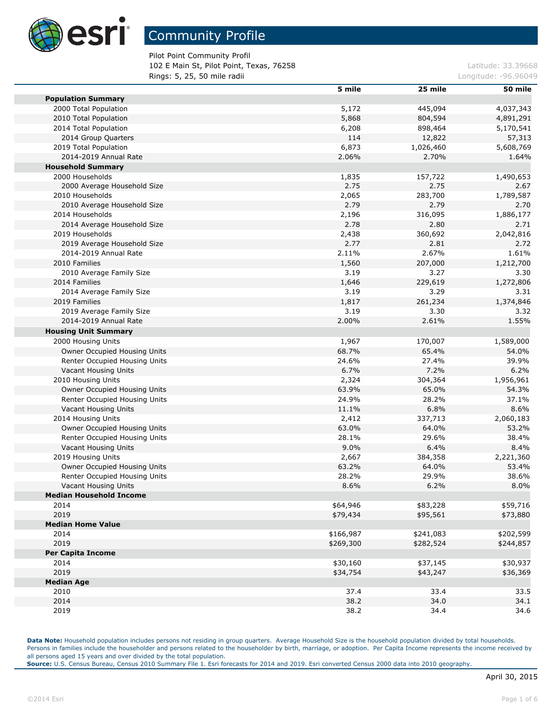

Pilot Point Community Profil 102 E Main St, Pilot Point, Texas, 76258 Latitude: 33.39668 **Rings: 5, 25, 50 mile radii Longitude: -96.96049 Longitude: -96.96049 Longitude: -96.96049** 

|                                | 5 mile    | 25 mile   | 50 mile   |
|--------------------------------|-----------|-----------|-----------|
| <b>Population Summary</b>      |           |           |           |
| 2000 Total Population          | 5,172     | 445,094   | 4,037,343 |
| 2010 Total Population          | 5,868     | 804,594   | 4,891,291 |
| 2014 Total Population          | 6,208     | 898,464   | 5,170,541 |
| 2014 Group Quarters            | 114       | 12,822    | 57,313    |
| 2019 Total Population          | 6,873     | 1,026,460 | 5,608,769 |
| 2014-2019 Annual Rate          | 2.06%     | 2.70%     | 1.64%     |
| <b>Household Summary</b>       |           |           |           |
| 2000 Households                | 1,835     | 157,722   | 1,490,653 |
| 2000 Average Household Size    | 2.75      | 2.75      | 2.67      |
| 2010 Households                | 2,065     | 283,700   | 1,789,587 |
| 2010 Average Household Size    | 2.79      | 2.79      | 2.70      |
| 2014 Households                | 2,196     | 316,095   | 1,886,177 |
| 2014 Average Household Size    | 2.78      | 2.80      | 2.71      |
| 2019 Households                | 2,438     | 360,692   | 2,042,816 |
| 2019 Average Household Size    | 2.77      | 2.81      | 2.72      |
| 2014-2019 Annual Rate          | 2.11%     | 2.67%     | 1.61%     |
| 2010 Families                  | 1,560     | 207,000   | 1,212,700 |
| 2010 Average Family Size       | 3.19      | 3.27      | 3.30      |
| 2014 Families                  | 1,646     | 229,619   | 1,272,806 |
| 2014 Average Family Size       | 3.19      | 3.29      | 3.31      |
| 2019 Families                  | 1,817     | 261,234   | 1,374,846 |
| 2019 Average Family Size       | 3.19      | 3.30      | 3.32      |
| 2014-2019 Annual Rate          |           |           |           |
|                                | 2.00%     | 2.61%     | 1.55%     |
| <b>Housing Unit Summary</b>    |           |           |           |
| 2000 Housing Units             | 1,967     | 170,007   | 1,589,000 |
| Owner Occupied Housing Units   | 68.7%     | 65.4%     | 54.0%     |
| Renter Occupied Housing Units  | 24.6%     | 27.4%     | 39.9%     |
| Vacant Housing Units           | 6.7%      | 7.2%      | 6.2%      |
| 2010 Housing Units             | 2,324     | 304,364   | 1,956,961 |
| Owner Occupied Housing Units   | 63.9%     | 65.0%     | 54.3%     |
| Renter Occupied Housing Units  | 24.9%     | 28.2%     | 37.1%     |
| Vacant Housing Units           | 11.1%     | 6.8%      | 8.6%      |
| 2014 Housing Units             | 2,412     | 337,713   | 2,060,183 |
| Owner Occupied Housing Units   | 63.0%     | 64.0%     | 53.2%     |
| Renter Occupied Housing Units  | 28.1%     | 29.6%     | 38.4%     |
| Vacant Housing Units           | 9.0%      | 6.4%      | 8.4%      |
| 2019 Housing Units             | 2,667     | 384,358   | 2,221,360 |
| Owner Occupied Housing Units   | 63.2%     | 64.0%     | 53.4%     |
| Renter Occupied Housing Units  | 28.2%     | 29.9%     | 38.6%     |
| Vacant Housing Units           | 8.6%      | 6.2%      | 8.0%      |
| <b>Median Household Income</b> |           |           |           |
| 2014                           | \$64,946  | \$83,228  | \$59,716  |
| 2019                           | \$79,434  | \$95,561  | \$73,880  |
| <b>Median Home Value</b>       |           |           |           |
| 2014                           | \$166,987 | \$241,083 | \$202,599 |
| 2019                           | \$269,300 | \$282,524 | \$244,857 |
| <b>Per Capita Income</b>       |           |           |           |
| 2014                           | \$30,160  | \$37,145  | \$30,937  |
| 2019                           | \$34,754  | \$43,247  | \$36,369  |
| <b>Median Age</b>              |           |           |           |
| 2010                           | 37.4      | 33.4      | 33.5      |
| 2014                           | 38.2      | 34.0      | 34.1      |
| 2019                           | 38.2      | 34.4      | 34.6      |
|                                |           |           |           |

**Data Note:** Household population includes persons not residing in group quarters. Average Household Size is the household population divided by total households. Persons in families include the householder and persons related to the householder by birth, marriage, or adoption. Per Capita Income represents the income received by all persons aged 15 years and over divided by the total population.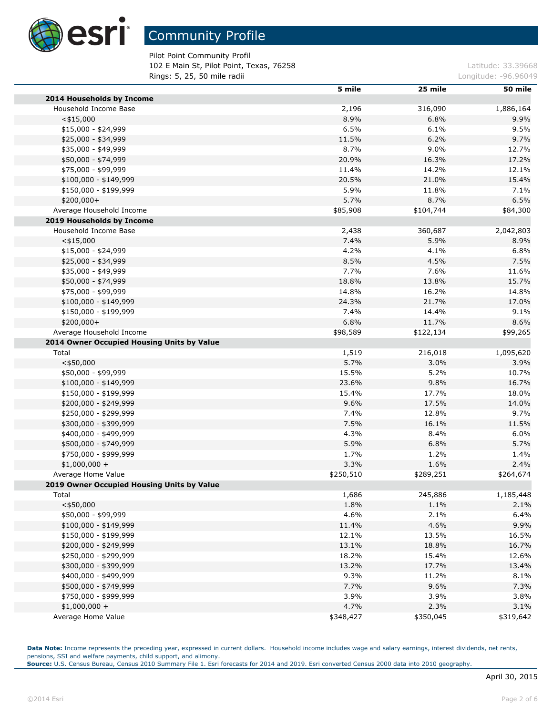

# Community Profile

Pilot Point Community Profil 102 E Main St, Pilot Point, Texas, 76258 Latitude: 33.39668 **Rings: 5, 25, 50 mile radii Longitude: -96.96049 Longitude: -96.96049** 

|                                            | 5 mile         | 25 mile   | 50 mile   |
|--------------------------------------------|----------------|-----------|-----------|
| 2014 Households by Income                  |                |           |           |
| Household Income Base                      | 2,196          | 316,090   | 1,886,164 |
| $<$ \$15,000                               | 8.9%           | 6.8%      | 9.9%      |
| $$15,000 - $24,999$                        | 6.5%           | 6.1%      | 9.5%      |
| \$25,000 - \$34,999                        | 11.5%          | 6.2%      | 9.7%      |
| \$35,000 - \$49,999                        | 8.7%           | 9.0%      | 12.7%     |
| \$50,000 - \$74,999                        | 20.9%          | 16.3%     | 17.2%     |
| \$75,000 - \$99,999                        | 11.4%          | 14.2%     | 12.1%     |
| $$100,000 - $149,999$                      | 20.5%          | 21.0%     | 15.4%     |
| \$150,000 - \$199,999                      | 5.9%           | 11.8%     | 7.1%      |
| $$200,000+$                                | 5.7%           | 8.7%      | 6.5%      |
| Average Household Income                   | \$85,908       | \$104,744 | \$84,300  |
| 2019 Households by Income                  |                |           |           |
| Household Income Base                      | 2,438          | 360,687   | 2,042,803 |
| $<$ \$15,000                               | 7.4%           | 5.9%      | 8.9%      |
| $$15,000 - $24,999$                        | 4.2%           | 4.1%      | 6.8%      |
| \$25,000 - \$34,999                        | 8.5%           | 4.5%      | 7.5%      |
| \$35,000 - \$49,999                        | 7.7%           | 7.6%      | 11.6%     |
| \$50,000 - \$74,999                        | 18.8%          | 13.8%     | 15.7%     |
| \$75,000 - \$99,999                        | 14.8%          | 16.2%     | 14.8%     |
| $$100,000 - $149,999$                      | 24.3%          | 21.7%     | 17.0%     |
| \$150,000 - \$199,999                      | 7.4%           | 14.4%     | 9.1%      |
| \$200,000+                                 | 6.8%           | 11.7%     | 8.6%      |
| Average Household Income                   | \$98,589       | \$122,134 | \$99,265  |
| 2014 Owner Occupied Housing Units by Value |                |           |           |
| Total                                      | 1,519          | 216,018   | 1,095,620 |
| $<$ \$50,000                               | 5.7%           | 3.0%      | 3.9%      |
| \$50,000 - \$99,999                        | 15.5%          | 5.2%      | 10.7%     |
| $$100,000 - $149,999$                      | 23.6%          | 9.8%      | 16.7%     |
| \$150,000 - \$199,999                      | 15.4%          | 17.7%     | 18.0%     |
| \$200,000 - \$249,999                      | 9.6%           | 17.5%     | 14.0%     |
| \$250,000 - \$299,999                      | 7.4%           | 12.8%     | 9.7%      |
| \$300,000 - \$399,999                      | 7.5%           | 16.1%     | 11.5%     |
| \$400,000 - \$499,999                      | 4.3%           | 8.4%      | 6.0%      |
| \$500,000 - \$749,999                      | 5.9%           | 6.8%      | 5.7%      |
| \$750,000 - \$999,999                      | 1.7%           | 1.2%      | 1.4%      |
| $$1,000,000 +$                             | 3.3%           | 1.6%      | 2.4%      |
| Average Home Value                         | \$250,510      | \$289,251 | \$264,674 |
| 2019 Owner Occupied Housing Units by Value |                |           |           |
| Total                                      | 1,686          | 245,886   | 1,185,448 |
| $<$ \$50,000                               | 1.8%           | 1.1%      | 2.1%      |
| \$50,000 - \$99,999                        | 4.6%           | 2.1%      | 6.4%      |
| $$100,000 - $149,999$                      | 11.4%          | 4.6%      | 9.9%      |
| \$150,000 - \$199,999                      | 12.1%          | 13.5%     | 16.5%     |
|                                            |                |           | 16.7%     |
| \$200,000 - \$249,999                      | 13.1%          | 18.8%     | 12.6%     |
| \$250,000 - \$299,999                      | 18.2%<br>13.2% | 15.4%     | 13.4%     |
| \$300,000 - \$399,999                      |                | 17.7%     |           |
| \$400,000 - \$499,999                      | 9.3%           | 11.2%     | 8.1%      |
| \$500,000 - \$749,999                      | 7.7%           | 9.6%      | 7.3%      |
| \$750,000 - \$999,999                      | 3.9%           | 3.9%      | 3.8%      |
| $$1,000,000 +$                             | 4.7%           | 2.3%      | 3.1%      |
| Average Home Value                         | \$348,427      | \$350,045 | \$319,642 |

Data Note: Income represents the preceding year, expressed in current dollars. Household income includes wage and salary earnings, interest dividends, net rents, pensions, SSI and welfare payments, child support, and alimony.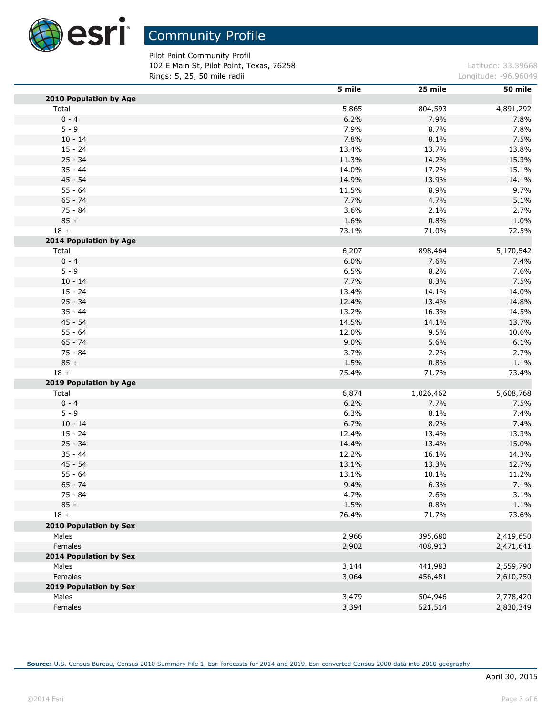

Pilot Point Community Profil 102 E Main St, Pilot Point, Texas, 76258 Latitude: 33.39668 **Rings: 5, 25, 50 mile radii Longitude: -96.96049 Longitude: -96.96049** 

|                        | 5 mile | 25 mile   | 50 mile   |
|------------------------|--------|-----------|-----------|
| 2010 Population by Age |        |           |           |
| Total                  | 5,865  | 804,593   | 4,891,292 |
| $0 - 4$                | 6.2%   | 7.9%      | 7.8%      |
| $5 - 9$                | 7.9%   | 8.7%      | 7.8%      |
| $10 - 14$              | 7.8%   | 8.1%      | 7.5%      |
| $15 - 24$              | 13.4%  | 13.7%     | 13.8%     |
| $25 - 34$              | 11.3%  | 14.2%     | 15.3%     |
| $35 - 44$              | 14.0%  | 17.2%     | 15.1%     |
| 45 - 54                | 14.9%  | 13.9%     | 14.1%     |
| $55 - 64$              | 11.5%  | 8.9%      | 9.7%      |
| $65 - 74$              | 7.7%   | 4.7%      | 5.1%      |
| $75 - 84$              | 3.6%   | 2.1%      | 2.7%      |
| $85 +$                 | 1.6%   | 0.8%      | 1.0%      |
| $18 +$                 | 73.1%  | 71.0%     | 72.5%     |
| 2014 Population by Age |        |           |           |
| Total                  | 6,207  | 898,464   | 5,170,542 |
| $0 - 4$                | 6.0%   | 7.6%      | 7.4%      |
| $5 - 9$                | 6.5%   | 8.2%      | 7.6%      |
| $10 - 14$              | 7.7%   | 8.3%      | 7.5%      |
| $15 - 24$              | 13.4%  | 14.1%     | 14.0%     |
| $25 - 34$              | 12.4%  | 13.4%     | 14.8%     |
| $35 - 44$              | 13.2%  | 16.3%     | 14.5%     |
| $45 - 54$              | 14.5%  | 14.1%     | 13.7%     |
| $55 - 64$              | 12.0%  | 9.5%      | 10.6%     |
| $65 - 74$              | 9.0%   | 5.6%      | 6.1%      |
| $75 - 84$              | 3.7%   | 2.2%      | 2.7%      |
| $85 +$                 | 1.5%   | 0.8%      | 1.1%      |
| $18 +$                 | 75.4%  | 71.7%     | 73.4%     |
| 2019 Population by Age |        |           |           |
| Total                  | 6,874  | 1,026,462 | 5,608,768 |
| $0 - 4$                | 6.2%   | 7.7%      | 7.5%      |
| $5 - 9$                | 6.3%   | 8.1%      | 7.4%      |
| $10 - 14$              | 6.7%   | 8.2%      | 7.4%      |
| $15 - 24$              | 12.4%  | 13.4%     | 13.3%     |
| $25 - 34$              | 14.4%  | 13.4%     | 15.0%     |
| $35 - 44$              | 12.2%  | 16.1%     | 14.3%     |
| $45 - 54$              | 13.1%  | 13.3%     | 12.7%     |
| $55 - 64$              | 13.1%  | 10.1%     | 11.2%     |
| $65 - 74$              | 9.4%   | 6.3%      | 7.1%      |
| 75 - 84                | 4.7%   | 2.6%      | 3.1%      |
| $85 +$                 | 1.5%   | 0.8%      | 1.1%      |
| $18 +$                 | 76.4%  | 71.7%     | 73.6%     |
|                        |        |           |           |
| 2010 Population by Sex |        |           |           |
| Males                  | 2,966  | 395,680   | 2,419,650 |
| Females                | 2,902  | 408,913   | 2,471,641 |
| 2014 Population by Sex |        |           |           |
| Males                  | 3,144  | 441,983   | 2,559,790 |
| Females                | 3,064  | 456,481   | 2,610,750 |
| 2019 Population by Sex |        |           |           |
| Males                  | 3,479  | 504,946   | 2,778,420 |
| Females                | 3,394  | 521,514   | 2,830,349 |

**Source:** U.S. Census Bureau, Census 2010 Summary File 1. Esri forecasts for 2014 and 2019. Esri converted Census 2000 data into 2010 geography.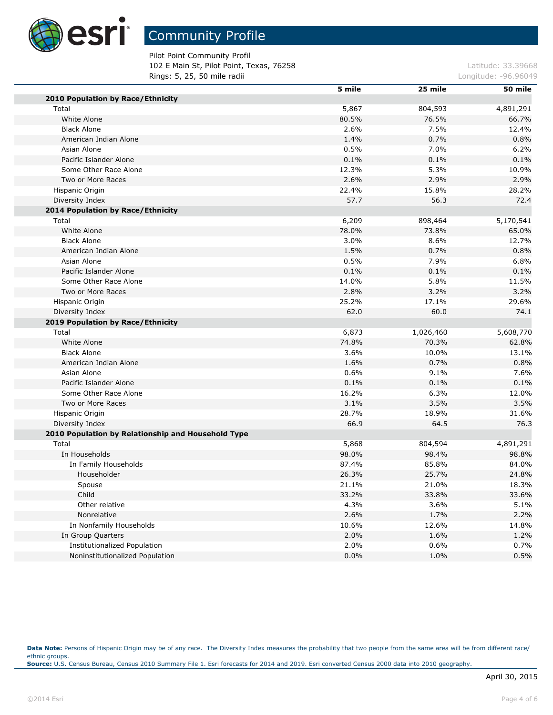

Pilot Point Community Profil 102 E Main St, Pilot Point, Texas, 76258 Latitude: 33.39668 **Rings: 5, 25, 50 mile radii Longitude: -96.96049 Longitude: -96.96049** 

|                                                    | 5 mile | 25 mile   | 50 mile   |
|----------------------------------------------------|--------|-----------|-----------|
| 2010 Population by Race/Ethnicity                  |        |           |           |
| Total                                              | 5,867  | 804,593   | 4,891,291 |
| White Alone                                        | 80.5%  | 76.5%     | 66.7%     |
| <b>Black Alone</b>                                 | 2.6%   | 7.5%      | 12.4%     |
| American Indian Alone                              | 1.4%   | 0.7%      | 0.8%      |
| Asian Alone                                        | 0.5%   | 7.0%      | 6.2%      |
| Pacific Islander Alone                             | 0.1%   | 0.1%      | 0.1%      |
| Some Other Race Alone                              | 12.3%  | 5.3%      | 10.9%     |
| Two or More Races                                  | 2.6%   | 2.9%      | 2.9%      |
| Hispanic Origin                                    | 22.4%  | 15.8%     | 28.2%     |
| Diversity Index                                    | 57.7   | 56.3      | 72.4      |
| 2014 Population by Race/Ethnicity                  |        |           |           |
| Total                                              | 6,209  | 898,464   | 5,170,541 |
| White Alone                                        | 78.0%  | 73.8%     | 65.0%     |
| <b>Black Alone</b>                                 | 3.0%   | 8.6%      | 12.7%     |
| American Indian Alone                              | 1.5%   | 0.7%      | 0.8%      |
| Asian Alone                                        | 0.5%   | 7.9%      | 6.8%      |
| Pacific Islander Alone                             | 0.1%   | 0.1%      | 0.1%      |
| Some Other Race Alone                              | 14.0%  | 5.8%      | 11.5%     |
| Two or More Races                                  | 2.8%   | 3.2%      | 3.2%      |
| Hispanic Origin                                    | 25.2%  | 17.1%     | 29.6%     |
| Diversity Index                                    | 62.0   | 60.0      | 74.1      |
| 2019 Population by Race/Ethnicity                  |        |           |           |
| Total                                              | 6,873  | 1,026,460 | 5,608,770 |
| White Alone                                        | 74.8%  | 70.3%     | 62.8%     |
| <b>Black Alone</b>                                 | 3.6%   | 10.0%     | 13.1%     |
| American Indian Alone                              | 1.6%   | 0.7%      | 0.8%      |
| Asian Alone                                        | 0.6%   | 9.1%      | 7.6%      |
| Pacific Islander Alone                             | 0.1%   | 0.1%      | 0.1%      |
| Some Other Race Alone                              | 16.2%  | 6.3%      | 12.0%     |
| Two or More Races                                  | 3.1%   | 3.5%      | 3.5%      |
| Hispanic Origin                                    | 28.7%  | 18.9%     | 31.6%     |
| Diversity Index                                    | 66.9   | 64.5      | 76.3      |
| 2010 Population by Relationship and Household Type |        |           |           |
| Total                                              | 5,868  | 804,594   | 4,891,291 |
| In Households                                      | 98.0%  | 98.4%     | 98.8%     |
| In Family Households                               | 87.4%  | 85.8%     | 84.0%     |
| Householder                                        | 26.3%  | 25.7%     | 24.8%     |
| Spouse                                             | 21.1%  | 21.0%     | 18.3%     |
| Child                                              | 33.2%  | 33.8%     | 33.6%     |
| Other relative                                     | 4.3%   | 3.6%      | 5.1%      |
| Nonrelative                                        | 2.6%   | 1.7%      | 2.2%      |
| In Nonfamily Households                            | 10.6%  | 12.6%     | 14.8%     |
| In Group Quarters                                  | 2.0%   | 1.6%      | 1.2%      |
| <b>Institutionalized Population</b>                | 2.0%   | 0.6%      | 0.7%      |
| Noninstitutionalized Population                    | 0.0%   | 1.0%      | 0.5%      |

Data Note: Persons of Hispanic Origin may be of any race. The Diversity Index measures the probability that two people from the same area will be from different race/ ethnic groups. **Source:** U.S. Census Bureau, Census 2010 Summary File 1. Esri forecasts for 2014 and 2019. Esri converted Census 2000 data into 2010 geography.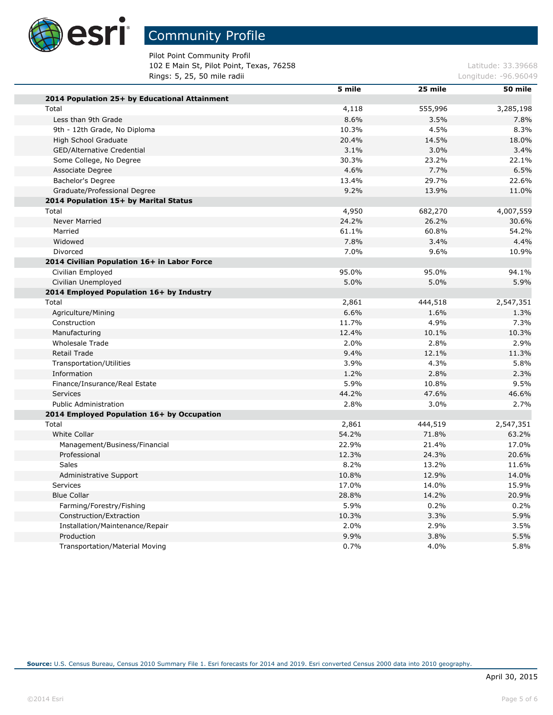

### Community Profile

Pilot Point Community Profil 102 E Main St, Pilot Point, Texas, 76258 Latitude: 33.39668 **Rings: 5, 25, 50 mile radii Longitude: -96.96049 Longitude: -96.96049** 

|                                               | 5 mile | 25 mile | 50 mile   |
|-----------------------------------------------|--------|---------|-----------|
| 2014 Population 25+ by Educational Attainment |        |         |           |
| Total                                         | 4,118  | 555,996 | 3,285,198 |
| Less than 9th Grade                           | 8.6%   | 3.5%    | 7.8%      |
| 9th - 12th Grade, No Diploma                  | 10.3%  | 4.5%    | 8.3%      |
| High School Graduate                          | 20.4%  | 14.5%   | 18.0%     |
| <b>GED/Alternative Credential</b>             | 3.1%   | 3.0%    | 3.4%      |
| Some College, No Degree                       | 30.3%  | 23.2%   | 22.1%     |
| Associate Degree                              | 4.6%   | 7.7%    | 6.5%      |
| Bachelor's Degree                             | 13.4%  | 29.7%   | 22.6%     |
| Graduate/Professional Degree                  | 9.2%   | 13.9%   | 11.0%     |
| 2014 Population 15+ by Marital Status         |        |         |           |
| Total                                         | 4,950  | 682,270 | 4,007,559 |
| <b>Never Married</b>                          | 24.2%  | 26.2%   | 30.6%     |
| Married                                       | 61.1%  | 60.8%   | 54.2%     |
| Widowed                                       | 7.8%   | 3.4%    | 4.4%      |
| Divorced                                      | 7.0%   | 9.6%    | 10.9%     |
| 2014 Civilian Population 16+ in Labor Force   |        |         |           |
| Civilian Employed                             | 95.0%  | 95.0%   | 94.1%     |
| Civilian Unemployed                           | 5.0%   | 5.0%    | 5.9%      |
| 2014 Employed Population 16+ by Industry      |        |         |           |
| Total                                         | 2,861  | 444,518 | 2,547,351 |
| Agriculture/Mining                            | 6.6%   | 1.6%    | 1.3%      |
| Construction                                  | 11.7%  | 4.9%    | 7.3%      |
| Manufacturing                                 | 12.4%  | 10.1%   | 10.3%     |
| <b>Wholesale Trade</b>                        | 2.0%   | 2.8%    | 2.9%      |
| <b>Retail Trade</b>                           | 9.4%   | 12.1%   | 11.3%     |
| <b>Transportation/Utilities</b>               | 3.9%   | 4.3%    | 5.8%      |
| Information                                   | 1.2%   | 2.8%    | 2.3%      |
| Finance/Insurance/Real Estate                 | 5.9%   | 10.8%   | 9.5%      |
| <b>Services</b>                               | 44.2%  | 47.6%   | 46.6%     |
| <b>Public Administration</b>                  | 2.8%   | 3.0%    | 2.7%      |
| 2014 Employed Population 16+ by Occupation    |        |         |           |
| Total                                         | 2,861  | 444,519 | 2,547,351 |
| <b>White Collar</b>                           | 54.2%  | 71.8%   | 63.2%     |
| Management/Business/Financial                 | 22.9%  | 21.4%   | 17.0%     |
| Professional                                  | 12.3%  | 24.3%   | 20.6%     |
| <b>Sales</b>                                  | 8.2%   | 13.2%   | 11.6%     |
| Administrative Support                        | 10.8%  | 12.9%   | 14.0%     |
| Services                                      | 17.0%  | 14.0%   | 15.9%     |
| <b>Blue Collar</b>                            | 28.8%  | 14.2%   | 20.9%     |
| Farming/Forestry/Fishing                      | 5.9%   | 0.2%    | 0.2%      |
| Construction/Extraction                       | 10.3%  | 3.3%    | 5.9%      |
| Installation/Maintenance/Repair               | 2.0%   | 2.9%    | 3.5%      |
| Production                                    | 9.9%   | 3.8%    | 5.5%      |
| <b>Transportation/Material Moving</b>         | 0.7%   | 4.0%    | 5.8%      |
|                                               |        |         |           |

**Source:** U.S. Census Bureau, Census 2010 Summary File 1. Esri forecasts for 2014 and 2019. Esri converted Census 2000 data into 2010 geography.